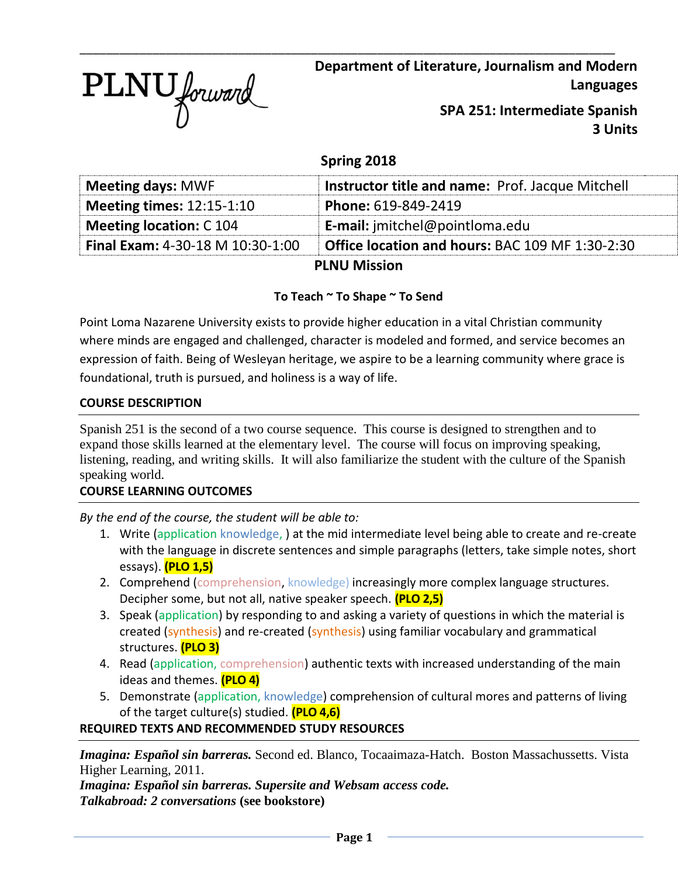

**Department of Literature, Journalism and Modern Languages**

> **SPA 251: Intermediate Spanish 3 Units**

# **Spring 2018**

\_\_\_\_\_\_\_\_\_\_\_\_\_\_\_\_\_\_\_\_\_\_\_\_\_\_\_\_\_\_\_\_\_\_\_\_\_\_\_\_\_\_\_\_\_\_\_\_\_\_\_\_\_\_\_\_\_\_\_\_\_\_\_\_\_\_\_\_\_\_\_\_\_\_\_\_\_\_\_\_\_

| <b>Meeting days: MWF</b>                | <b>Instructor title and name: Prof. Jacque Mitchell</b> |  |
|-----------------------------------------|---------------------------------------------------------|--|
| <b>Meeting times: 12:15-1:10</b>        | Phone: 619-849-2419                                     |  |
| <b>Meeting location: C 104</b>          | <b>E-mail:</b> imitchel@pointloma.edu                   |  |
| <b>Final Exam: 4-30-18 M 10:30-1:00</b> | Office location and hours: BAC 109 MF 1:30-2:30         |  |
| <b>PLNU Mission</b>                     |                                                         |  |

# **To Teach ~ To Shape ~ To Send**

Point Loma Nazarene University exists to provide higher education in a vital Christian community where minds are engaged and challenged, character is modeled and formed, and service becomes an expression of faith. Being of Wesleyan heritage, we aspire to be a learning community where grace is foundational, truth is pursued, and holiness is a way of life.

# **COURSE DESCRIPTION**

Spanish 251 is the second of a two course sequence. This course is designed to strengthen and to expand those skills learned at the elementary level. The course will focus on improving speaking, listening, reading, and writing skills. It will also familiarize the student with the culture of the Spanish speaking world.

# **COURSE LEARNING OUTCOMES**

*By the end of the course, the student will be able to:*

- 1. Write (application knowledge, ) at the mid intermediate level being able to create and re-create with the language in discrete sentences and simple paragraphs (letters, take simple notes, short essays). **(PLO 1,5)**
- 2. Comprehend (comprehension, knowledge) increasingly more complex language structures. Decipher some, but not all, native speaker speech. **(PLO 2,5)**
- 3. Speak (application) by responding to and asking a variety of questions in which the material is created (synthesis) and re-created (synthesis) using familiar vocabulary and grammatical structures. **(PLO 3)**
- 4. Read (application, comprehension) authentic texts with increased understanding of the main ideas and themes. **(PLO 4)**
- 5. Demonstrate (application, knowledge) comprehension of cultural mores and patterns of living of the target culture(s) studied. **(PLO 4,6)**

# **REQUIRED TEXTS AND RECOMMENDED STUDY RESOURCES**

*Imagina: Español sin barreras.* Second ed. Blanco, Tocaaimaza-Hatch. Boston Massachussetts. Vista Higher Learning, 2011.

*Imagina: Español sin barreras. Supersite and Websam access code. Talkabroad: 2 conversations* **(see bookstore)**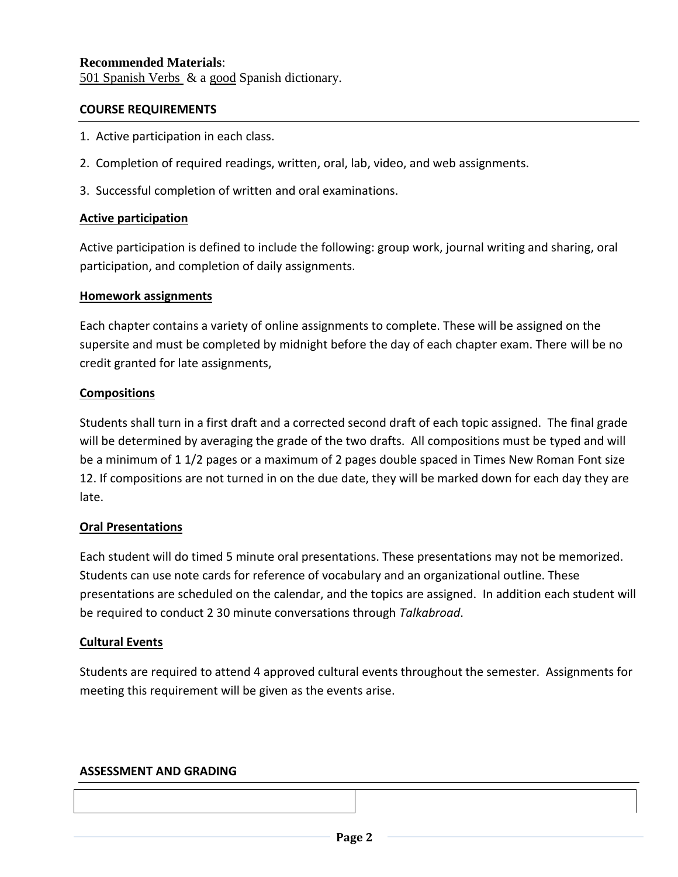## **Recommended Materials**:

501 Spanish Verbs & a good Spanish dictionary.

#### **COURSE REQUIREMENTS**

- 1. Active participation in each class.
- 2. Completion of required readings, written, oral, lab, video, and web assignments.
- 3. Successful completion of written and oral examinations.

### **Active participation**

Active participation is defined to include the following: group work, journal writing and sharing, oral participation, and completion of daily assignments.

#### **Homework assignments**

Each chapter contains a variety of online assignments to complete. These will be assigned on the supersite and must be completed by midnight before the day of each chapter exam. There will be no credit granted for late assignments,

#### **Compositions**

Students shall turn in a first draft and a corrected second draft of each topic assigned. The final grade will be determined by averaging the grade of the two drafts. All compositions must be typed and will be a minimum of 1 1/2 pages or a maximum of 2 pages double spaced in Times New Roman Font size 12. If compositions are not turned in on the due date, they will be marked down for each day they are late.

### **Oral Presentations**

Each student will do timed 5 minute oral presentations. These presentations may not be memorized. Students can use note cards for reference of vocabulary and an organizational outline. These presentations are scheduled on the calendar, and the topics are assigned. In addition each student will be required to conduct 2 30 minute conversations through *Talkabroad*.

### **Cultural Events**

Students are required to attend 4 approved cultural events throughout the semester. Assignments for meeting this requirement will be given as the events arise.

#### **ASSESSMENT AND GRADING**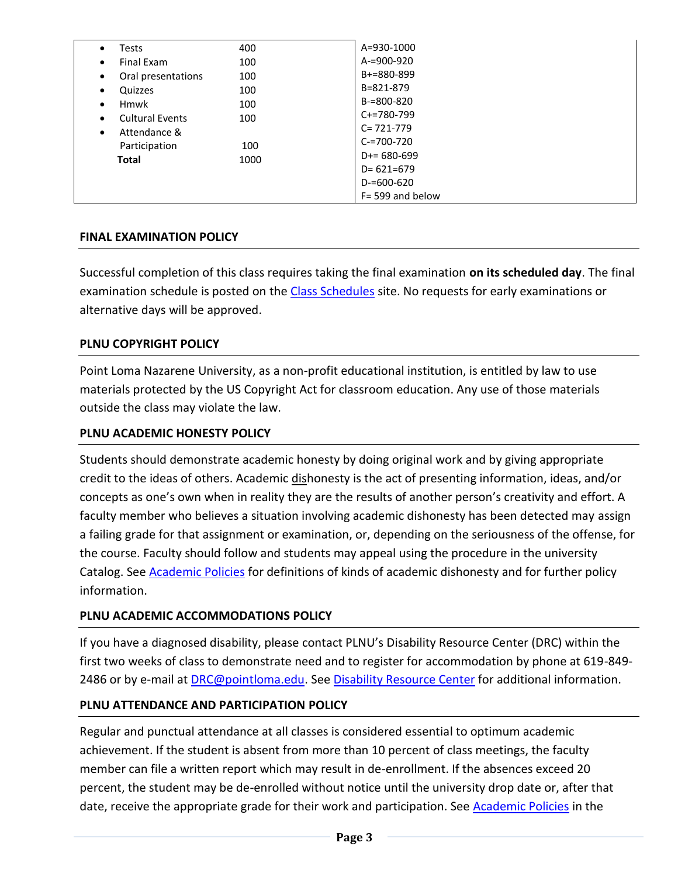| <b>Tests</b><br>$\bullet$<br><b>Final Exam</b><br>$\bullet$<br>Oral presentations<br>$\bullet$<br>Quizzes<br>٠<br><b>Hmwk</b><br>$\bullet$<br><b>Cultural Events</b><br>$\bullet$<br>Attendance &<br>$\bullet$<br>Participation<br><b>Total</b> | 400<br>100<br>100<br>100<br>100<br>100<br>100<br>1000 | A=930-1000<br>A-=900-920<br>$B+=880-899$<br>B=821-879<br>$B = 800 - 820$<br>$C+=780-799$<br>$C = 721 - 779$<br>$C = 700 - 720$<br>$D+= 680 - 699$<br>$D = 621 = 679$ |
|-------------------------------------------------------------------------------------------------------------------------------------------------------------------------------------------------------------------------------------------------|-------------------------------------------------------|----------------------------------------------------------------------------------------------------------------------------------------------------------------------|
|                                                                                                                                                                                                                                                 |                                                       | $D = 600 - 620$<br>$F = 599$ and below                                                                                                                               |

# **FINAL EXAMINATION POLICY**

Successful completion of this class requires taking the final examination **on its scheduled day**. The final examination schedule is posted on the [Class Schedules](http://www.pointloma.edu/experience/academics/class-schedules) site. No requests for early examinations or alternative days will be approved.

# **PLNU COPYRIGHT POLICY**

Point Loma Nazarene University, as a non-profit educational institution, is entitled by law to use materials protected by the US Copyright Act for classroom education. Any use of those materials outside the class may violate the law.

## **PLNU ACADEMIC HONESTY POLICY**

Students should demonstrate academic honesty by doing original work and by giving appropriate credit to the ideas of others. Academic dishonesty is the act of presenting information, ideas, and/or concepts as one's own when in reality they are the results of another person's creativity and effort. A faculty member who believes a situation involving academic dishonesty has been detected may assign a failing grade for that assignment or examination, or, depending on the seriousness of the offense, for the course. Faculty should follow and students may appeal using the procedure in the university Catalog. See [Academic Policies](http://catalog.pointloma.edu/content.php?catoid=18&navoid=1278) for definitions of kinds of academic dishonesty and for further policy information.

### **PLNU ACADEMIC ACCOMMODATIONS POLICY**

If you have a diagnosed disability, please contact PLNU's Disability Resource Center (DRC) within the first two weeks of class to demonstrate need and to register for accommodation by phone at 619-849- 2486 or by e-mail at **DRC@pointloma.edu.** See [Disability Resource Center](http://www.pointloma.edu/experience/offices/administrative-offices/academic-advising-office/disability-resource-center) for additional information.

### **PLNU ATTENDANCE AND PARTICIPATION POLICY**

Regular and punctual attendance at all classes is considered essential to optimum academic achievement. If the student is absent from more than 10 percent of class meetings, the faculty member can file a written report which may result in de-enrollment. If the absences exceed 20 percent, the student may be de-enrolled without notice until the university drop date or, after that date, receive the appropriate grade for their work and participation. See [Academic Policies](http://catalog.pointloma.edu/content.php?catoid=18&navoid=1278) in the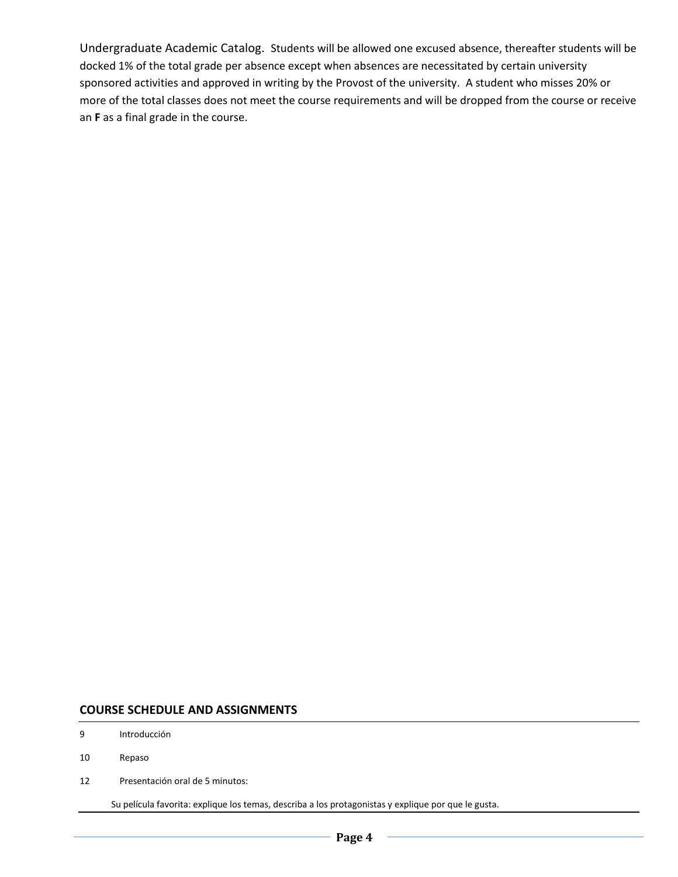Undergraduate Academic Catalog. Students will be allowed one excused absence, thereafter students will be docked 1% of the total grade per absence except when absences are necessitated by certain university sponsored activities and approved in writing by the Provost of the university. A student who misses 20% or more of the total classes does not meet the course requirements and will be dropped from the course or receive an **F** as a final grade in the course.

#### **COURSE SCHEDULE AND ASSIGNMENTS**

- 9 Introducción
- 10 Repaso
- 12 Presentación oral de 5 minutos:

Su película favorita: explique los temas, describa a los protagonistas y explique por que le gusta.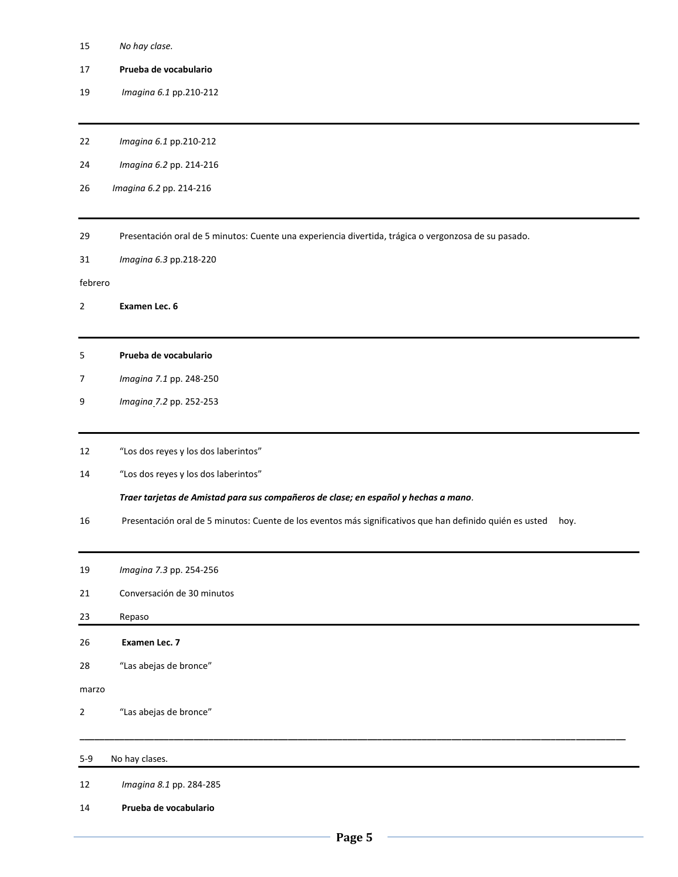- *No hay clase.*
- **Prueba de vocabulario**
- *Imagina 6.1* pp.210-212
- *Imagina 6.1* pp.210-212
- *Imagina 6.2* pp. 214-216
- *Imagina 6.2* pp. 214-216
- Presentación oral de 5 minutos: Cuente una experiencia divertida, trágica o vergonzosa de su pasado.
- *Imagina 6.3* pp.218-220

#### febrero

- **Examen Lec. 6**
- **Prueba de vocabulario**
- *Imagina 7.1* pp. 248-250
- *Imagina 7.2* pp. 252-253
- "Los dos reyes y los dos laberintos"
- "Los dos reyes y los dos laberintos"

*Traer tarjetas de Amistad para sus compañeros de clase; en español y hechas a mano.*

- Presentación oral de 5 minutos: Cuente de los eventos más significativos que han definido quién es usted hoy.
- *Imagina 7.3* pp. 254-256

Conversación de 30 minutos

- 23 Repaso
- **Examen Lec. 7**
- "Las abejas de bronce"

marzo

"Las abejas de bronce"

#### 5-9 No hay clases.

- *Imagina 8.1* pp. 284-285
- **Prueba de vocabulario**

**\_\_\_\_\_\_\_\_\_\_\_\_\_\_\_\_\_\_\_\_\_\_\_\_\_\_\_\_\_\_\_\_\_\_\_\_\_\_\_\_\_\_\_\_\_\_\_\_\_\_\_\_\_\_\_\_\_\_\_\_\_\_\_\_\_\_\_\_\_\_\_\_\_\_\_\_\_\_\_\_\_\_\_\_\_\_\_\_\_\_\_\_\_\_\_\_\_\_\_\_\_\_\_\_\_\_\_\_\_\_**